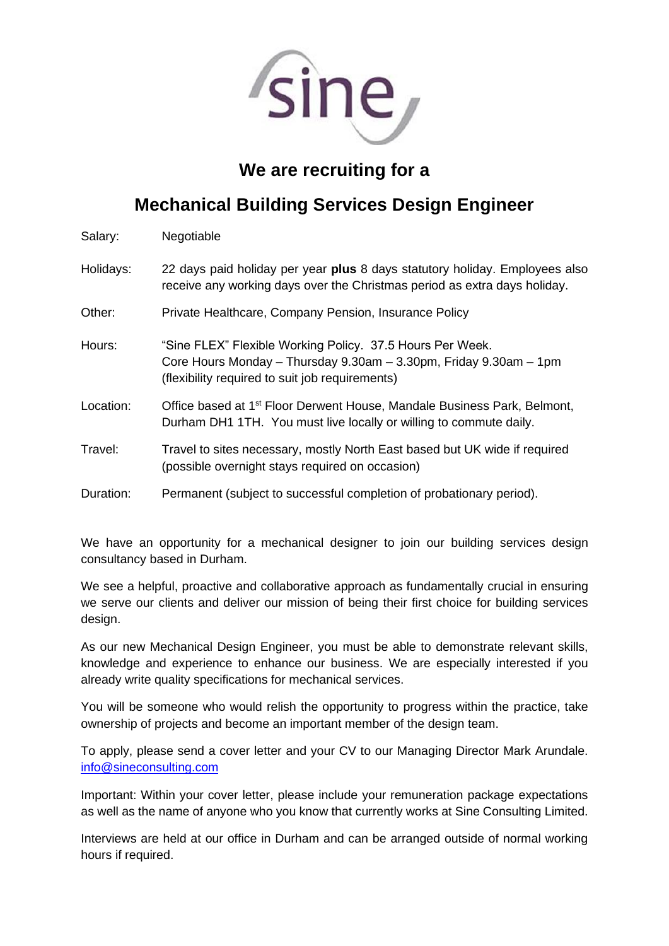

# **We are recruiting for a**

# **Mechanical Building Services Design Engineer**

| Salary: | Negotiable |
|---------|------------|
|---------|------------|

Holidays: 22 days paid holiday per year **plus** 8 days statutory holiday. Employees also receive any working days over the Christmas period as extra days holiday.

- Other: Private Healthcare, Company Pension, Insurance Policy
- Hours: "Sine FLEX" Flexible Working Policy. 37.5 Hours Per Week. Core Hours Monday – Thursday 9.30am – 3.30pm, Friday 9.30am – 1pm (flexibility required to suit job requirements)
- Location: Office based at 1<sup>st</sup> Floor Derwent House, Mandale Business Park, Belmont, Durham DH1 1TH. You must live locally or willing to commute daily.
- Travel: Travel to sites necessary, mostly North East based but UK wide if required (possible overnight stays required on occasion)
- Duration: Permanent (subject to successful completion of probationary period).

We have an opportunity for a mechanical designer to join our building services design consultancy based in Durham.

We see a helpful, proactive and collaborative approach as fundamentally crucial in ensuring we serve our clients and deliver our mission of being their first choice for building services design.

As our new Mechanical Design Engineer, you must be able to demonstrate relevant skills, knowledge and experience to enhance our business. We are especially interested if you already write quality specifications for mechanical services.

You will be someone who would relish the opportunity to progress within the practice, take ownership of projects and become an important member of the design team.

To apply, please send a cover letter and your CV to our Managing Director Mark Arundale. [info@sineconsulting.com](mailto:info@sineconsulting.com)

Important: Within your cover letter, please include your remuneration package expectations as well as the name of anyone who you know that currently works at Sine Consulting Limited.

Interviews are held at our office in Durham and can be arranged outside of normal working hours if required.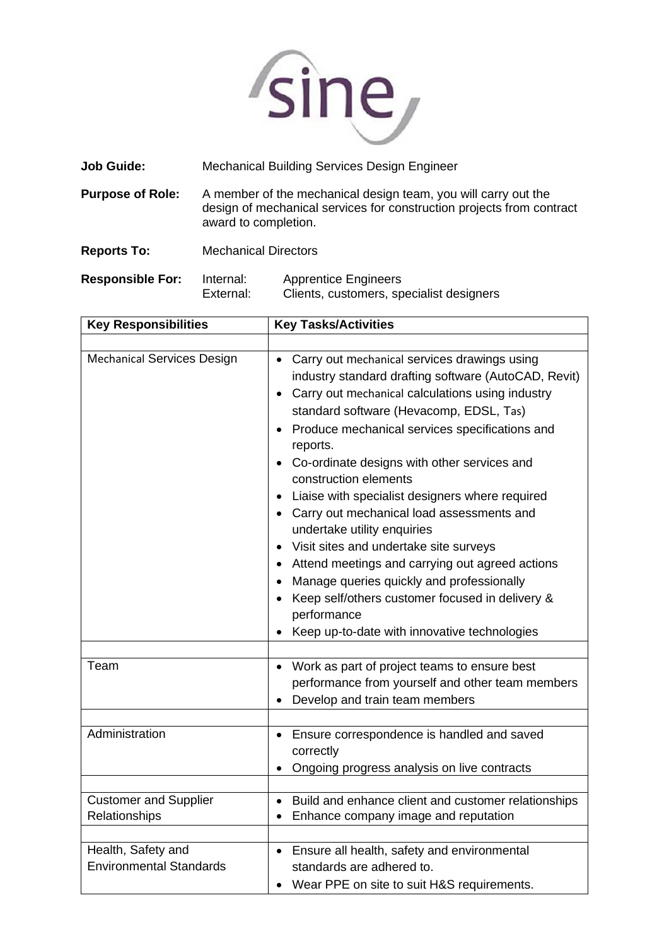

| <b>Job Guide:</b>       |                                                                                                                                                                 | Mechanical Building Services Design Engineer |
|-------------------------|-----------------------------------------------------------------------------------------------------------------------------------------------------------------|----------------------------------------------|
| <b>Purpose of Role:</b> | A member of the mechanical design team, you will carry out the<br>design of mechanical services for construction projects from contract<br>award to completion. |                                              |
| <b>Reports To:</b>      | <b>Mechanical Directors</b>                                                                                                                                     |                                              |
| <b>Responsible For:</b> | Internal:                                                                                                                                                       | <b>Apprentice Engineers</b>                  |

٦

| .<br>External: | Clients, customers, specialist designers |
|----------------|------------------------------------------|
|                | .                                        |

| <b>Key Responsibilities</b>                          | <b>Key Tasks/Activities</b>                                                                                                                                                                                                                                                                                                                                                                                                                                                                                                                                                                                                                                                                                                          |
|------------------------------------------------------|--------------------------------------------------------------------------------------------------------------------------------------------------------------------------------------------------------------------------------------------------------------------------------------------------------------------------------------------------------------------------------------------------------------------------------------------------------------------------------------------------------------------------------------------------------------------------------------------------------------------------------------------------------------------------------------------------------------------------------------|
|                                                      |                                                                                                                                                                                                                                                                                                                                                                                                                                                                                                                                                                                                                                                                                                                                      |
| <b>Mechanical Services Design</b>                    | Carry out mechanical services drawings using<br>industry standard drafting software (AutoCAD, Revit)<br>Carry out mechanical calculations using industry<br>standard software (Hevacomp, EDSL, Tas)<br>Produce mechanical services specifications and<br>reports.<br>Co-ordinate designs with other services and<br>construction elements<br>Liaise with specialist designers where required<br>Carry out mechanical load assessments and<br>undertake utility enquiries<br>Visit sites and undertake site surveys<br>Attend meetings and carrying out agreed actions<br>Manage queries quickly and professionally<br>Keep self/others customer focused in delivery &<br>performance<br>Keep up-to-date with innovative technologies |
|                                                      |                                                                                                                                                                                                                                                                                                                                                                                                                                                                                                                                                                                                                                                                                                                                      |
| Team                                                 | Work as part of project teams to ensure best<br>performance from yourself and other team members<br>Develop and train team members                                                                                                                                                                                                                                                                                                                                                                                                                                                                                                                                                                                                   |
| Administration                                       | Ensure correspondence is handled and saved<br>correctly<br>Ongoing progress analysis on live contracts                                                                                                                                                                                                                                                                                                                                                                                                                                                                                                                                                                                                                               |
| <b>Customer and Supplier</b><br>Relationships        | Build and enhance client and customer relationships<br>$\bullet$<br>Enhance company image and reputation                                                                                                                                                                                                                                                                                                                                                                                                                                                                                                                                                                                                                             |
| Health, Safety and<br><b>Environmental Standards</b> | Ensure all health, safety and environmental<br>standards are adhered to.<br>Wear PPE on site to suit H&S requirements.                                                                                                                                                                                                                                                                                                                                                                                                                                                                                                                                                                                                               |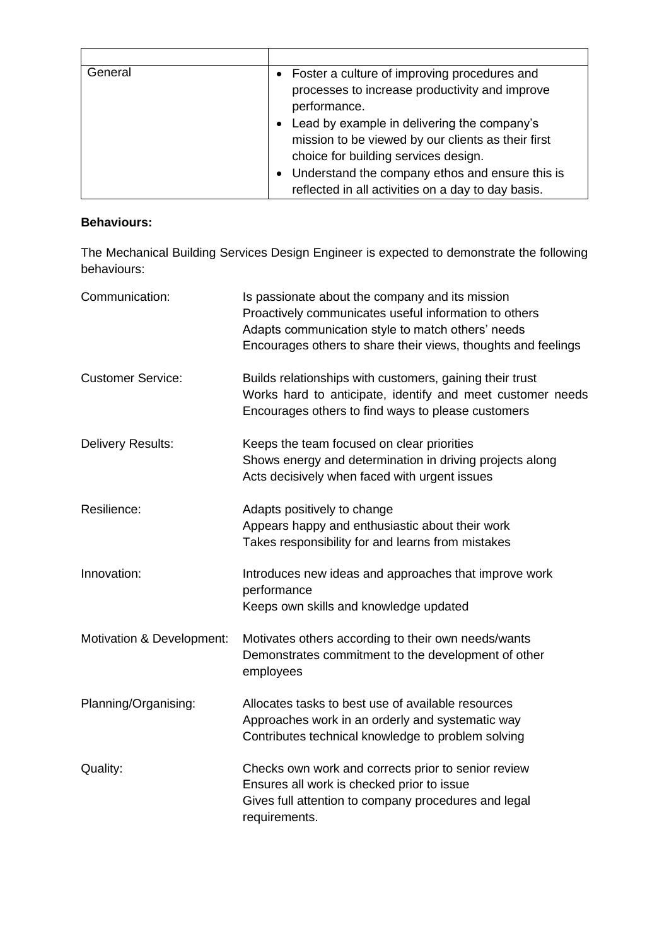| General | • Foster a culture of improving procedures and<br>processes to increase productivity and improve<br>performance.                                       |
|---------|--------------------------------------------------------------------------------------------------------------------------------------------------------|
|         | Lead by example in delivering the company's<br>$\bullet$<br>mission to be viewed by our clients as their first<br>choice for building services design. |
|         | • Understand the company ethos and ensure this is<br>reflected in all activities on a day to day basis.                                                |

### **Behaviours:**

The Mechanical Building Services Design Engineer is expected to demonstrate the following behaviours:

| Communication:            | Is passionate about the company and its mission<br>Proactively communicates useful information to others<br>Adapts communication style to match others' needs<br>Encourages others to share their views, thoughts and feelings |
|---------------------------|--------------------------------------------------------------------------------------------------------------------------------------------------------------------------------------------------------------------------------|
| <b>Customer Service:</b>  | Builds relationships with customers, gaining their trust<br>Works hard to anticipate, identify and meet customer needs<br>Encourages others to find ways to please customers                                                   |
| Delivery Results:         | Keeps the team focused on clear priorities<br>Shows energy and determination in driving projects along<br>Acts decisively when faced with urgent issues                                                                        |
| Resilience:               | Adapts positively to change<br>Appears happy and enthusiastic about their work<br>Takes responsibility for and learns from mistakes                                                                                            |
| Innovation:               | Introduces new ideas and approaches that improve work<br>performance<br>Keeps own skills and knowledge updated                                                                                                                 |
| Motivation & Development: | Motivates others according to their own needs/wants<br>Demonstrates commitment to the development of other<br>employees                                                                                                        |
| Planning/Organising:      | Allocates tasks to best use of available resources<br>Approaches work in an orderly and systematic way<br>Contributes technical knowledge to problem solving                                                                   |
| Quality:                  | Checks own work and corrects prior to senior review<br>Ensures all work is checked prior to issue<br>Gives full attention to company procedures and legal<br>requirements.                                                     |